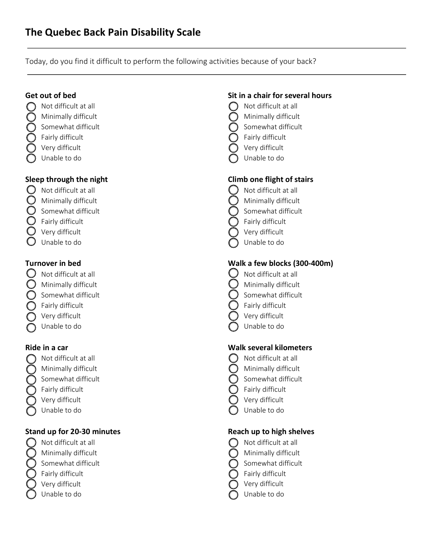Today, do you find it difficult to perform the following activities because of your back?

#### Get out of bed

- $\bigcap$  Not difficult at all
- $\bigcap$  Minimally difficult
- $\bigcap$  Somewhat difficult
- Fairly difficult
- $\bigcirc$  Very difficult
- Unable to do

#### Sleep through the night

- $\bigcirc$  Not difficult at all
- $\bigcirc$  Minimally difficult
- $\bigcirc$  Somewhat difficult
- $\bigcirc$  Fairly difficult
- $\bigcirc$  Very difficult
- Unable to do

#### Turnover in bed

- $\bigcup$  Not difficult at all
- $\bigcirc$  Minimally difficult
- $\bigcap$  Somewhat difficult
- $\bigcap$  Fairly difficult
- Very difficult
- Unable to do

#### Ride in a car

- Not difficult at all
- Minimally difficult
- Somewhat difficult
- Fairly difficult
- Very difficult
- Unable to do

## Stand up for 20-30 minutes

- Not difficult at all
- Minimally difficult
- Somewhat difficult
- Fairly difficult
- Very difficult
- Unable to do

#### Sit in a chair for several hours

- Not difficult at all
- Minimally difficult
- Somewhat difficult
- Fairly difficult
- Very difficult
- Unable to do

### Climb one flight of stairs

- Not difficult at all
- Minimally difficult
- Somewhat difficult
- Fairly difficult
- Very difficult
- Unable to do

### Walk a few blocks (300-400m)

- Not difficult at all
- Minimally difficult
- Somewhat difficult
- Fairly difficult
- Very difficult
- Unable to do

#### Walk several kilometers

- Not difficult at all
- Minimally difficult
- Somewhat difficult
- Fairly difficult
- Very difficult
- Unable to do

#### Reach up to high shelves

- $\bigcap$  Not difficult at all
- Minimally difficult
- Somewhat difficult
- Fairly difficult
- Very difficult
- Unable to do